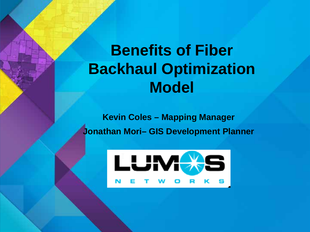# **Benefits of Fiber Backhaul Optimization Model**

**Kevin Coles – Mapping Manager Jonathan Mori– GIS Development Planner**

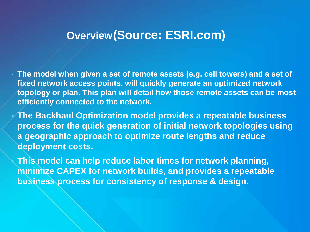## **Overview(Source: ESRI.com)**

• **The model when given a set of remote assets (e.g. cell towers) and a set of fixed network access points, will quickly generate an optimized network topology or plan. This plan will detail how those remote assets can be most efficiently connected to the network.**

• **The Backhaul Optimization model provides a repeatable business process for the quick generation of initial network topologies using a geographic approach to optimize route lengths and reduce deployment costs.**

• **This model can help reduce labor times for network planning, minimize CAPEX for network builds, and provides a repeatable business process for consistency of response & design.**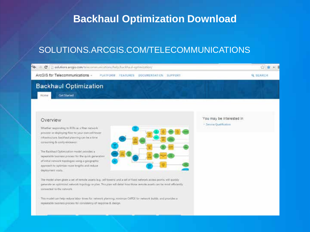### **Backhaul Optimization Download**

#### SOLUTIONS.ARCGIS.COM/TELECOMMUNICATIONS

| C [] solutions aregis com/telecommunications/help/backhaul-optimization/                                                                                                                                                                                                     |                                                     |
|------------------------------------------------------------------------------------------------------------------------------------------------------------------------------------------------------------------------------------------------------------------------------|-----------------------------------------------------|
| ArcGIS for Telecommunications -<br><b>PLATFORM: FEATURES</b><br>DOCUMENTATION SUPPORT                                                                                                                                                                                        | <b>Q SEARCH</b>                                     |
| <b>Backhaul Optimization</b><br>Get Started<br>Home                                                                                                                                                                                                                          |                                                     |
| Overview                                                                                                                                                                                                                                                                     | You may be interested in<br>> Service Qualification |
| Whether responding to RFFs as a fiber network.<br>provider or deploying fiber to your trwn cell tower<br>inhastructure. backfaul planning can be a time.<br>consuming & costly entheires.                                                                                    |                                                     |
| The Backhaul Optimization model provides a<br>repeatable business process for the quick generation<br>af initial network topologies stiing a geographic                                                                                                                      |                                                     |
| approach to optimize route lengths and reduce<br>deployment costs.                                                                                                                                                                                                           |                                                     |
| The model when gives a set of remote assets (e.g. cell towers) and a set of fixed network access points, will quickly<br>generate an optimized network topology or plan. This plan will detail how those remote assets can be minit efficiently<br>connected to the network. |                                                     |
| This model can help reduce labor times for network planning, minimus CAPEX for insteark builds, and provides a<br>repearable business process for consistency of response & design.                                                                                          |                                                     |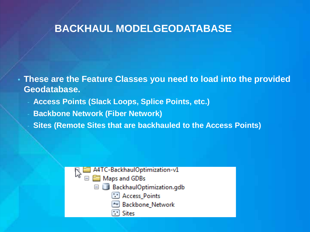#### **BACKHAUL MODELGEODATABASE**

- **These are the Feature Classes you need to load into the provided Geodatabase.** 
	- **Access Points (Slack Loops, Splice Points, etc.)**
	- **Backbone Network (Fiber Network)**
	- **Sites (Remote Sites that are backhauled to the Access Points)**

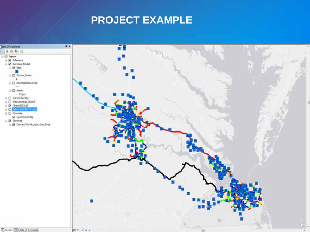# **PROJECT EXAMPLE**



**ED Results ED Table Of Compute** 

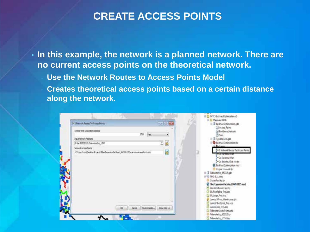#### **CREATE ACCESS POINTS**

• **In this example, the network is a planned network. There are no current access points on the theoretical network.**

- Use the Network Routes to **Access Points Model**
- **Creates theoretical access points based on a certain distance along the network.**

|                                                                            |                       | <b>POSSIBLE</b> | B Brokha/Coleration.pdb<br>23 Acces Points                      |
|----------------------------------------------------------------------------|-----------------------|-----------------|-----------------------------------------------------------------|
| Actes: Part Separator Datance                                              |                       |                 | Backbone Network                                                |
| <b>Input Network Features</b>                                              | $170^{\circ}$<br>Fest |                 | 235                                                             |
| Fiber BMS2015/7-devuter(up UTM)                                            |                       |                 | E (3.1youthouts.gd)<br>Bedrauf Cytimization Hz                  |
| <b>Network Access Points</b>                                               |                       | 36              | <b>B</b> . Collis                                               |
| C/Jan/no/jDekto Project/FlexExperiorBichte/_00332.0ExpandankcasaPoins.itp. |                       |                 | >1 Network Routes To Access Paints                              |
|                                                                            |                       | Ξ               | <b>ALSO MARINE</b>                                              |
|                                                                            |                       |                 | To Escidual Main                                                |
|                                                                            |                       |                 | 16cM dial/fault for \$2.9%<br><b>Q</b> Bedchev/Optimization.msd |
|                                                                            |                       |                 | Gutput Linework for                                             |
|                                                                            |                       |                 | H U Televaterist 05215 gds                                      |
|                                                                            |                       |                 | II HIS TWO SULLANE                                              |
|                                                                            |                       |                 | <b>Closed scientist</b>                                         |
|                                                                            |                       |                 | C FlorfogunienBackhaul 06052815.mmd                             |
|                                                                            |                       |                 | MestateBasia Cip sha                                            |
|                                                                            |                       |                 | <b>RiFbeSplay Projulus</b><br>BLLoope Presidno                  |
|                                                                            |                       |                 | Lumos DRoss, Watehouses & A                                     |
|                                                                            |                       |                 | Lumes became the sty.                                           |
|                                                                            |                       |                 |                                                                 |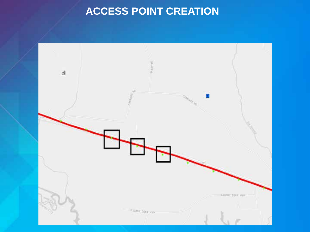# **ACCESS POINT CREATION**

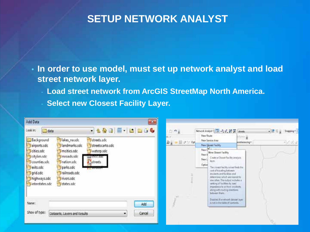## **SETUP NETWORK ANALYST**

• **In order to use model, must set up network analyst and load street network layer.**

- **Load street network from ArcGIS StreetMap North America.**
- **Select new Closest Facility Layer.**

| $\overline{\phantom{a}}$<br>Add Data                                                                                                                                                                                                                                                                                                                                                                                                   |                                                                                                                                                                                                                                                                                                                                                                                                                                                                                                                                                                  |
|----------------------------------------------------------------------------------------------------------------------------------------------------------------------------------------------------------------------------------------------------------------------------------------------------------------------------------------------------------------------------------------------------------------------------------------|------------------------------------------------------------------------------------------------------------------------------------------------------------------------------------------------------------------------------------------------------------------------------------------------------------------------------------------------------------------------------------------------------------------------------------------------------------------------------------------------------------------------------------------------------------------|
| 8 & B B H B B G &<br>data<br>Look in:<br>lakes nasdc<br>Background<br>streets.sdc<br><b>Elandmarks.sdc</b><br>streetscarto.sdc<br>Pairports.sdc<br>meities.sdc<br>waterp.sdc<br>cities.sdc<br>Citylim.sdc<br>mroads.sdc<br>THE CLOCK ROLL<br>counties.sdc<br>nation.sdc<br>Streets<br>parks.sdc<br>exits.sdc<br><b>TT MARCHA</b><br>Frailroads.sdc<br>grid.sdc<br>highways.sdc<br><b>Trivers.sdc</b><br>Uinterstates.sdc<br>states.sdc | Nework Analyst 2 (28) & of 28 (20 Laborator<br>in og<br>- P. S. g. Snapping C<br>New Route<br>Alima y<br>08.3<br>New Service Area<br>Daim II クソウト<br>$+22.5$<br>conferencing *<br>New Queent Facility<br><b>Men Gosett Facility</b><br>New V<br>Crute a Closest Facility analysis.<br>New L<br>layer<br>Option<br>The coast facility sover finds the<br>cest of traveling between."<br>incidents and facilities and<br>determines which are nearest to<br>one askes. The output includes a<br>sanking of facilities by least.<br>impedance to or from incidents. |
| Name:<br>Add<br>Show of type:<br>Cancel<br>Datasets, Layers and Results                                                                                                                                                                                                                                                                                                                                                                | along with reating directions.<br>between them.<br>Disklied if a richwork dataset layer<br>icindi in the fable of contents.                                                                                                                                                                                                                                                                                                                                                                                                                                      |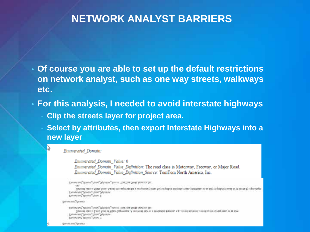#### **NETWORK ANALYST BARRIERS**

- **Of course you are able to set up the default restrictions on network analyst, such as one way streets, walkways etc.**
- **For this analysis, I needed to avoid interstate highways** 
	- **Clip the streets layer for project area.**
	- **Select by attributes, then export Interstate Highways into a new layer**

lv)

Enumerated Domain Value: 0 Emmerated Domain Value Definition: The road class is Motorway, Freeway, or Major Road. Emmerated Domain Value Definition Source: TomTom North America, Inc.

```
TALENT DIRECTION TANK, INVESTIGATION CONTACT INTERFERENCE
         (ps tony quot to cypus good) y non) you milosom pain methanon despert priding buyers happens becompared on an applies hanging an army to personalize
    Externate, Downs, Files, Descriptor,
    Ensembled Downs Tring 1
развими увива
    TWING DAVID THREE WAINING SOLICE 200200 2010 STORIES [0]:
         Так тооб самы и 1-тооб 76000 об Мани Заднится. А гозд наиб над эк и бельшания палом, е.д., и безбельй возболее на не не не не на наду-
    Zinnersel, Donan Tabe Delacte
    Enterprised Doctor, Fisher 7
THURSDAY TOWER
```
Emimerated Domain: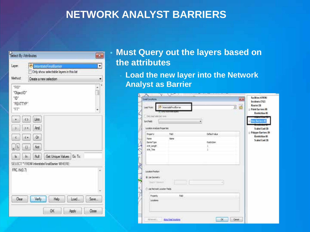#### **NETWORK ANALYST BARRIERS**

| Select By Attributes                     |                           |                                                                              |       |       |
|------------------------------------------|---------------------------|------------------------------------------------------------------------------|-------|-------|
| Layer.                                   |                           | <b>C.</b> InterstateFinalBarrier<br>Only show selectable layers in this list |       | ×     |
| Method:                                  |                           | Create a new selection                                                       |       |       |
| "FID"<br>"ObjectID"<br>"ID"<br>"FEATTYP" |                           |                                                                              |       | Ŧ     |
| *FP                                      |                           |                                                                              |       | ٠     |
|                                          | Like<br>$\leftrightarrow$ |                                                                              |       |       |
|                                          | And<br>$2 +$              |                                                                              |       |       |
|                                          | Or<br>CH.                 |                                                                              |       |       |
| - 12                                     | $\vert$ $\vert$<br>Not    |                                                                              |       |       |
| h                                        | Null                      | Get Unique Values Go To:                                                     |       |       |
|                                          |                           | SELECT * FROM InterstateFinalBarier WHERE:                                   |       |       |
| FRC (N) 0.7)                             |                           |                                                                              |       |       |
|                                          |                           |                                                                              |       |       |
|                                          |                           |                                                                              |       |       |
| Clear                                    | Verly                     | Help                                                                         | Load. | Save. |
|                                          |                           |                                                                              |       |       |

#### • **Must Query out the layers based on the attributes**

**Load the new layer into the Network Analyst as Barrier**

| Lost Franc<br>They lead selected new                                          | O horzadicalarie<br><b>TURN SERVICE BURNING</b> |              | d<br>z<br>Roint Barriers #<br><b>Restriction (B)</b> |                 |
|-------------------------------------------------------------------------------|-------------------------------------------------|--------------|------------------------------------------------------|-----------------|
| San Fede                                                                      |                                                 |              | <b>Side Reinst</b>                                   |                 |
| Lecation Analysis Properties                                                  |                                                 |              |                                                      | Scaled Cost 130 |
| <b>Property</b>                                                               | Feb                                             | Default take | Relygen Barriers (R)<br><b>Restriction (B)</b>       |                 |
| <b>Tiane</b>                                                                  | <b>TENNE</b>                                    |              |                                                      | Scaled Cost 109 |
| <b>BarrierTupe</b><br>Att Jergh                                               |                                                 | Restriction  |                                                      |                 |
| Alt, Toe                                                                      |                                                 | Ľ            |                                                      |                 |
| <b><i><u>Sacation Positian</u></i></b><br>B Lise Geometry<br>liards Tilksmell |                                                 |              |                                                      |                 |
| One Network Location Pieds                                                    |                                                 |              |                                                      |                 |
| Procenty:<br>Locations                                                        | Febt                                            |              |                                                      |                 |
| n vin                                                                         |                                                 |              |                                                      |                 |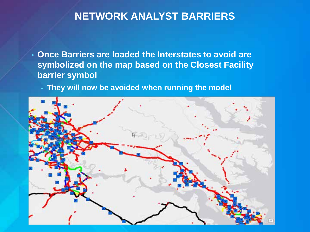### **NETWORK ANALYST BARRIERS**

- **Once Barriers are loaded the Interstates to avoid are symbolized on the map based on the Closest Facility barrier symbol**
	- They will now be avoided when running the model

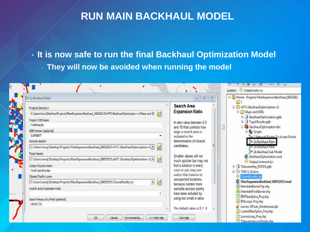### **RUN MAIN BACKHAUL MODEL**

• **It is now safe to run the final Backhaul Optimization Model**

- **They will now be avoided when running the model**

| 29 7s Brokhaul Main                                                                                                                                                                                                                                                                                                                                                                                                                                                                                                                                                                                                                                                                                                  | Te<br>$-23$<br>$\Rightarrow$                                                                                                                                                                                                                                                                                                                                                                                                                                                             | El Da Home - Projects\FiberExpansionBackhaul_06052015                                                                                                                                                                                                                                                                                                                                                                                                                                                                                                                                                                                                                          |
|----------------------------------------------------------------------------------------------------------------------------------------------------------------------------------------------------------------------------------------------------------------------------------------------------------------------------------------------------------------------------------------------------------------------------------------------------------------------------------------------------------------------------------------------------------------------------------------------------------------------------------------------------------------------------------------------------------------------|------------------------------------------------------------------------------------------------------------------------------------------------------------------------------------------------------------------------------------------------------------------------------------------------------------------------------------------------------------------------------------------------------------------------------------------------------------------------------------------|--------------------------------------------------------------------------------------------------------------------------------------------------------------------------------------------------------------------------------------------------------------------------------------------------------------------------------------------------------------------------------------------------------------------------------------------------------------------------------------------------------------------------------------------------------------------------------------------------------------------------------------------------------------------------------|
| Projects Directory<br>C:\Les\mot Dektop\Projects\Fbe\Expansor@adthaul_06052015\A4TC-BackhaulOptimization-v1\Maps and GE<br>Project GDB Name<br>FinalResults<br>GDB Version (optional)<br><b>CURRENT</b><br>Remote Assets<br>C/Libers\many\Desktop\Projects\FiberExpansionBackhaul_06052015\ATC-BackhaulOptimization-v1_1<br>Fixed Assets<br>C/(Jsers\mori):Desktop\Projects\FiberExpansionBackhaul_06052015\A4TC-BackhaulOptimization-v1 ><br><b>Output Routes Name</b><br>FinalType IRoutes<br>Closest Facility Laver<br>3 e<br>C:\Users\moni}\Desktop\Projects\FiberExpansionBackhaul_06052015\ClosestFacility.lyr<br>Search Area Expansion Ratio<br>$\mathbf{1}$<br>Asset Primary Key Field (optional)<br>OSECTIO | Search Area<br><b>Expansion Ratio</b><br>A ratio value between 0.0<br>and 10 that controls how<br>large a search area is<br>included in the<br>determination of closest<br>candidates.<br>Smaller values will run<br>much quicker but may not<br>find a solution in every<br>case or you may see<br>routes that traverse to<br>unexpected locations<br>because certain more<br>sensible access points<br>have been exluded by<br>using too small a value.<br>The debut value is 0.7. It. | El 27 ATC-BackhaulOptimization-v1<br>B Maps and GDBs<br><b>E BackhaulOptimization.gdb</b><br><b>E</b> J Type1Results.gdb<br>BackhaulOptimization.the<br>E Scripts<br><b>See 1 Meturick Routes To Access Points</b><br>2a Backhaul Main<br>A Za Backhaul Main<br>26 Backhaul Sub Model<br>BackhaulOptimization.mud<br>Output Linework.lyt<br>E dewaterExp 052015.gdb<br>E & TMO 5.11 kmz<br>Closent actively<br>C FiberExpansionBackhaul 06052015.mxd<br>InterstateBarrierClip.shp<br>- InterstateFinalBarrier.shp<br><b>BUFiberSplice</b> Projahp<br><b>E</b> IRULoops Projshp<br>Umos Offices_Warehouses.lpk<br><sup>13</sup> LumosFiberSplice_Proj.shp<br>LumosLoop_Proj.shp |